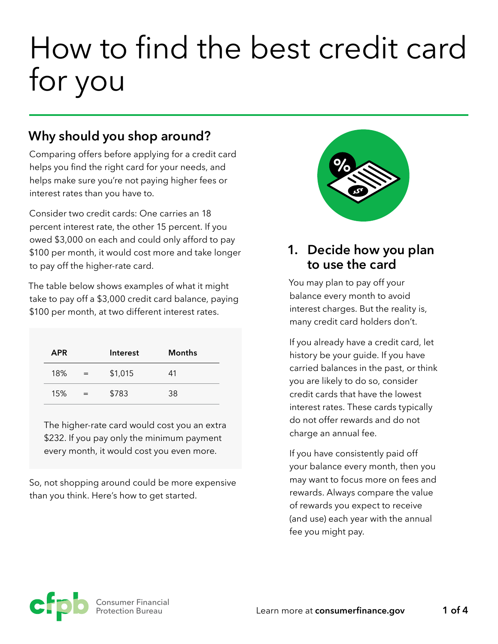# How to find the best credit card for you

# **Why should you shop around?**

Comparing offers before applying for a credit card helps you find the right card for your needs, and helps make sure you're not paying higher fees or interest rates than you have to.

Consider two credit cards: One carries an 18 percent interest rate, the other 15 percent. If you owed \$3,000 on each and could only afford to pay \$100 per month, it would cost more and take longer to pay off the higher-rate card.

The table below shows examples of what it might take to pay off a \$3,000 credit card balance, paying \$100 per month, at two different interest rates.

| <b>APR</b> |     | Interest | <b>Months</b> |
|------------|-----|----------|---------------|
| 18%        | $=$ | \$1,015  | 41            |
| 15%        | $=$ | \$783    | 38            |

The higher-rate card would cost you an extra \$232. If you pay only the minimum payment every month, it would cost you even more.

So, not shopping around could be more expensive than you think. Here's how to get started.



#### **1. Decide how you plan to use the card**

You may plan to pay off your balance every month to avoid interest charges. But the reality is, many credit card holders don't.

If you already have a credit card, let history be your guide. If you have carried balances in the past, or think you are likely to do so, consider credit cards that have the lowest interest rates. These cards typically do not offer rewards and do not charge an annual fee.

If you have consistently paid off your balance every month, then you may want to focus more on fees and rewards. Always compare the value of rewards you expect to receive (and use) each year with the annual fee you might pay.

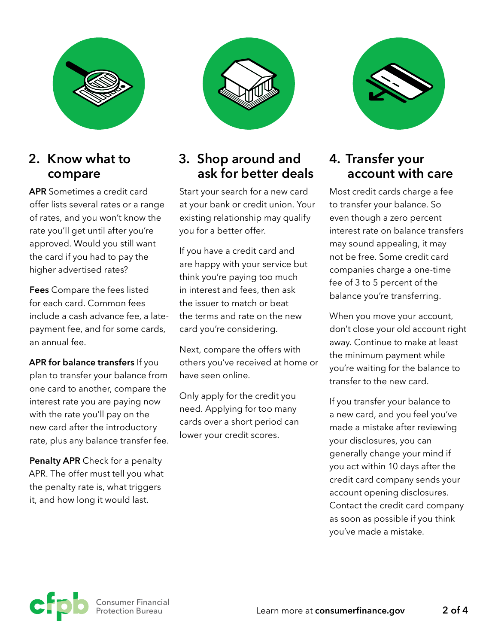

#### **2. Know what to compare**

**APR** Sometimes a credit card offer lists several rates or a range of rates, and you won't know the rate you'll get until after you're approved. Would you still want the card if you had to pay the higher advertised rates?

**Fees** Compare the fees listed for each card. Common fees include a cash advance fee, a latepayment fee, and for some cards, an annual fee.

**APR for balance transfers** If you plan to transfer your balance from one card to another, compare the interest rate you are paying now with the rate you'll pay on the new card after the introductory rate, plus any balance transfer fee.

**Penalty APR** Check for a penalty APR. The offer must tell you what the penalty rate is, what triggers it, and how long it would last.



## **3. Shop around and ask for better deals**

Start your search for a new card at your bank or credit union. Your existing relationship may qualify you for a better offer.

If you have a credit card and are happy with your service but think you're paying too much in interest and fees, then ask the issuer to match or beat the terms and rate on the new card you're considering.

Next, compare the offers with others you've received at home or have seen online.

Only apply for the credit you need. Applying for too many cards over a short period can lower your credit scores.



## **4. Transfer your account with care**

Most credit cards charge a fee to transfer your balance. So even though a zero percent interest rate on balance transfers may sound appealing, it may not be free. Some credit card companies charge a one-time fee of 3 to 5 percent of the balance you're transferring.

When you move your account, don't close your old account right away. Continue to make at least the minimum payment while you're waiting for the balance to transfer to the new card.

If you transfer your balance to a new card, and you feel you've made a mistake after reviewing your disclosures, you can generally change your mind if you act within 10 days after the credit card company sends your account opening disclosures. Contact the credit card company as soon as possible if you think you've made a mistake.

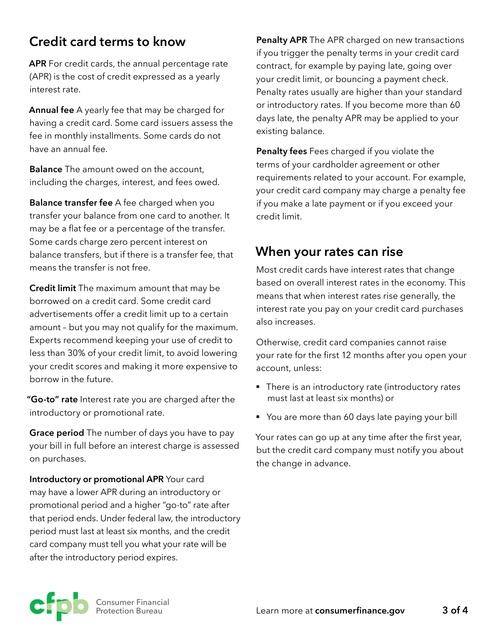# **Credit card terms to know**

**APR** For credit cards, the annual percentage rate (APR) is the cost of credit expressed as a yearly interest rate.

**Annual fee** A yearly fee that may be charged for having a credit card. Some card issuers assess the fee in monthly installments. Some cards do not have an annual fee.

**Balance** The amount owed on the account, including the charges, interest, and fees owed.

**Balance transfer fee** A fee charged when you transfer your balance from one card to another. It may be a flat fee or a percentage of the transfer. Some cards charge zero percent interest on balance transfers, but if there is a transfer fee, that means the transfer is not free.

**Credit limit** The maximum amount that may be borrowed on a credit card. Some credit card advertisements offer a credit limit up to a certain amount – but you may not qualify for the maximum. Experts recommend keeping your use of credit to less than 30% of your credit limit, to avoid lowering your credit scores and making it more expensive to borrow in the future.

**"Go-to" rate** Interest rate you are charged after the introductory or promotional rate.

**Grace period** The number of days you have to pay your bill in full before an interest charge is assessed on purchases.

**Introductory or promotional APR** Your card may have a lower APR during an introductory or promotional period and a higher "go-to" rate after that period ends. Under federal law, the introductory period must last at least six months, and the credit card company must tell you what your rate will be after the introductory period expires.

**Penalty APR** The APR charged on new transactions if you trigger the penalty terms in your credit card contract, for example by paying late, going over your credit limit, or bouncing a payment check. Penalty rates usually are higher than your standard or introductory rates. If you become more than 60 days late, the penalty APR may be applied to your existing balance.

**Penalty fees** Fees charged if you violate the terms of your cardholder agreement or other requirements related to your account. For example, your credit card company may charge a penalty fee if you make a late payment or if you exceed your credit limit.

## **When your rates can rise**

Most credit cards have interest rates that change based on overall interest rates in the economy. This means that when interest rates rise generally, the interest rate you pay on your credit card purchases also increases.

Otherwise, credit card companies cannot raise your rate for the first 12 months after you open your account, unless:

- There is an introductory rate (introductory rates must last at least six months) or
- You are more than 60 days late paying your bill

Your rates can go up at any time after the first year, but the credit card company must notify you about the change in advance.